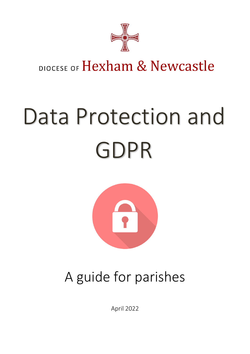

## DIOCESE OF Hexham & Newcastle

# Data Protection and GDPR



## A guide for parishes

April 2022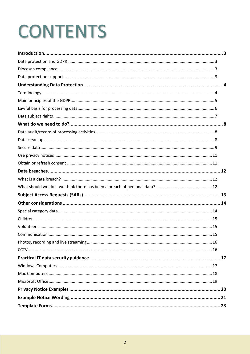## **CONTENTS**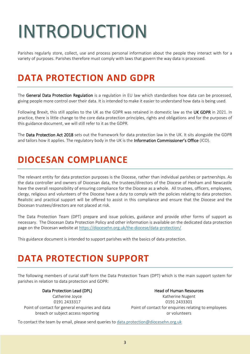## <span id="page-2-0"></span>INTRODUCTION

Parishes regularly store, collect, use and process personal information about the people they interact with for a variety of purposes. Parishes therefore must comply with laws that govern the way data is processed.

## <span id="page-2-1"></span>**DATA PROTECTION AND GDPR**

The General Data Protection Regulation is a regulation in EU law which standardises how data can be processed, giving people more control over their data. It is intended to make it easier to understand how data is being used.

Following Brexit, this still applies to the UK as the GDPR was retained in domestic law as the UK GDPR in 2021. In practice, there is little change to the core data protection principles, rights and obligations and for the purposes of this guidance document, we will still refer to it as the GDPR.

<span id="page-2-2"></span>The Data Protection Act 2018 sets out the framework for data protection law in the UK. It sits alongside the GDPR and tailors how it applies. The regulatory body in the UK is the Information Commissioner's Office (ICO).

## **DIOCESAN COMPLIANCE**

The relevant entity for data protection purposes is the Diocese, rather than individual parishes or partnerships. As the data controller and owners of Diocesan data, the trustees/directors of the Diocese of Hexham and Newcastle have the overall responsibility of ensuring compliance for the Diocese as a whole. All trustees, officers, employees, clergy, religious and volunteers of the Diocese have a duty to comply with the policies relating to data protection. Realistic and practical support will be offered to assist in this compliance and ensure that the Diocese and the Diocesan trustees/directors are not placed at risk.

The Data Protection Team (DPT) prepare and issue policies, guidance and provide other forms of support as necessary. The Diocesan Data Protection Policy and other information is available on the dedicated data protection page on the Diocesan website at<https://diocesehn.org.uk/the-diocese/data-protection/>

<span id="page-2-3"></span>This guidance document is intended to support parishes with the basics of data protection.

## **DATA PROTECTION SUPPORT**

The following members of curial staff form the Data Protection Team (DPT) which is the main support system for parishes in relation to data protection and GDPR:

Point of contact for general enquiries and data breach or subject access reporting

Data Protection Lead (DPL) and the Muslim Head of Human Resources Catherine Joyce **Katherine Nugent** Catherine Nugent 0191 2433317 0191 2433301 Point of contact for enquiries relating to employees or volunteers

To contact the team by email, please send queries to [data.protection@diocesehn.org.uk](mailto:data.protection@diocesehn.org.uk)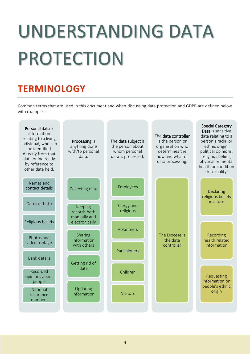## <span id="page-3-0"></span>UNDERSTANDING DATA PROTECTION

## <span id="page-3-1"></span>**TERMINOLOGY**

Common terms that are used in this document and when discussing data protection and GDPR are defined below with examples:

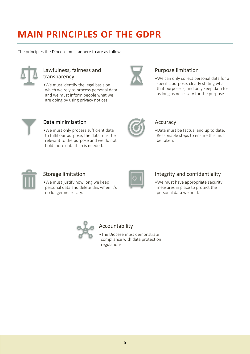## <span id="page-4-0"></span>**MAIN PRINCIPLES OF THE GDPR**

The principles the Diocese must adhere to are as follows:



## Lawfulness, fairness and transparency

•We must identify the legal basis on which we rely to process personal data and we must inform people what we are doing by using privacy notices.



## Purpose limitation

•We can only collect personal data for a specific purpose, clearly stating what that purpose is, and only keep data for as long as necessary for the purpose.



### Data minimisation

•We must only process sufficient data to fulfil our purpose, the data must be relevant to the purpose and we do not hold more data than is needed.



### Accuracy

•Data must be factual and up to date. Reasonable steps to ensure this must be taken.



### Storage limitation

•We must justify how long we keep personal data and delete this when it's no longer necessary.



### Integrity and confidentiality

•We must have appropriate security measures in place to protect the personal data we hold.



## Accountability

•The Diocese must demonstrate compliance with data protection regulations.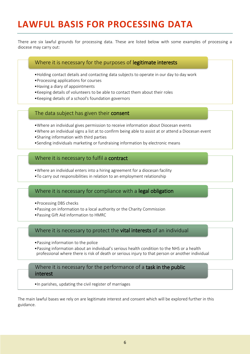## <span id="page-5-0"></span>**LAWFUL BASIS FOR PROCESSING DATA**

There are six lawful grounds for processing data. These are listed below with some examples of processing a diocese may carry out:

#### Where it is necessary for the purposes of legitimate interests

- •Holding contact details and contacting data subjects to operate in our day to day work
- •Processing applications for courses
- •Having a diary of appointments
- •Keeping details of volunteers to be able to contact them about their roles
- •Keeping details of a school's foundation governors

#### The data subject has given their consent

- •Where an individual gives permission to receive information about Diocesan events
- •Where an individual signs a list at to confirm being able to assist at or attend a Diocesan event
- •Sharing information with third parties
- •Sending individuals marketing or fundraising information by electronic means

#### Where it is necessary to fulfil a contract

•Where an individual enters into a hiring agreement for a diocesan facility

•To carry out responsibilities in relation to an employment relationship

#### Where it is necessary for compliance with a legal obligation

- •Processing DBS checks
- •Passing on information to a local authority or the Charity Commission
- •Passing Gift Aid information to HMRC

#### Where it is necessary to protect the vital interests of an individual

- •Passing information to the police
- •Passing information about an individual's serious health condition to the NHS or a health professional where there is risk of death or serious injury to that person or another individual

#### Where it is necessary for the performance of a task in the public interest

•In parishes, updating the civil register of marriages

The main lawful bases we rely on are legitimate interest and consent which will be explored further in this guidance.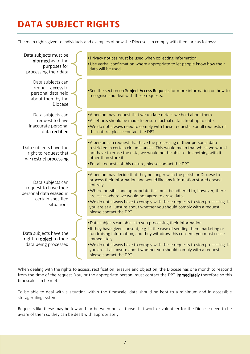## <span id="page-6-0"></span>**DATA SUBJECT RIGHTS**

The main rights given to individuals and examples of how the Diocese can comply with them are as follows:

| Data subjects must be<br>informed as to the<br>purposes for<br>processing their data                     | . Privacy notices must be used when collecting information.<br>. Use verbal confirmation where appropriate to let people know how their<br>data will be used.                                                                                                                                                                                                                                                                                                                       |
|----------------------------------------------------------------------------------------------------------|-------------------------------------------------------------------------------------------------------------------------------------------------------------------------------------------------------------------------------------------------------------------------------------------------------------------------------------------------------------------------------------------------------------------------------------------------------------------------------------|
| Data subjects can<br>request access to<br>personal data held<br>about them by the<br>Diocese             | . See the section on Subject Access Requests for more information on how to<br>recognise and deal with these requests.                                                                                                                                                                                                                                                                                                                                                              |
| Data subjects can<br>request to have<br>inaccurate personal<br>data rectified                            | • A person may request that we update details we hold about them.<br>. All efforts should be made to ensure factual data is kept up to date.<br>. We do not always need to comply with these requests. For all requests of<br>this nature, please contact the DPT.                                                                                                                                                                                                                  |
| Data subjects have the<br>right to request that<br>we restrict processing                                | • A person can request that have the processing of their personal data<br>restricted in certain circumstances. This would mean that whilst we would<br>not have to erase the data, we would not be able to do anything with it<br>other than store it.<br>. For all requests of this nature, please contact the DPT.                                                                                                                                                                |
| Data subjects can<br>request to have their<br>personal data erased in<br>certain specified<br>situations | • A person may decide that they no longer wish the parish or Diocese to<br>process their information and would like any information stored erased<br>entirely.<br>. Where possible and appropriate this must be adhered to, however, there<br>are cases where we would not agree to erase data.<br>. We do not always have to comply with these requests to stop processing. If<br>you are at all unsure about whether you should comply with a request,<br>please contact the DPT. |
| Data subjects have the<br>right to object to their<br>data being processed                               | . Data subjects can object to you processing their information.<br>. If they have given consent, e.g. in the case of sending them marketing or<br>fundraising information, and they withdraw this consent, you must cease<br>immediately.<br>. We do not always have to comply with these requests to stop processing. If<br>you are at all unsure about whether you should comply with a request,<br>please contact the DPT.                                                       |

When dealing with the rights to access, rectification, erasure and objection, the Diocese has one month to respond from the time of the request. You, or the appropriate person, must contact the DPT immediately therefore so this timescale can be met.

To be able to deal with a situation within the timescale, data should be kept to a minimum and in accessible storage/filing systems.

Requests like these may be few and far between but all those that work or volunteer for the Diocese need to be aware of them so they can be dealt with appropriately.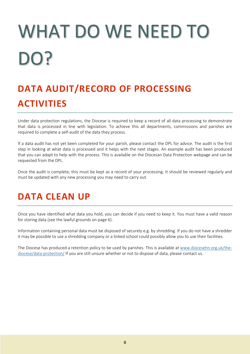# <span id="page-7-0"></span>WHAT DO WE NEED TO DO?

## <span id="page-7-1"></span>**DATA AUDIT/RECORD OF PROCESSING ACTIVITIES**

Under data protection regulations, the Diocese is required to keep a record of all data processing to demonstrate that data is processed in line with legislation. To achieve this all departments, commissions and parishes are required to complete a self-audit of the data they process.

If a data audit has not yet been completed for your parish, please contact the DPL for advice. The audit is the first step in looking at what data is processed and it helps with the next stages. An example audit has been produced that you can adapt to help with the process. This is available on the Diocesan Data Protection webpage and can be requested from the DPL.

<span id="page-7-2"></span>Once the audit is complete, this must be kept as a record of your processing. It should be reviewed regularly and must be updated with any new processing you may need to carry out.

## **DATA CLEAN UP**

Once you have identified what data you hold, you can decide if you need to keep it. You must have a valid reason for storing data (see the lawful grounds on page 6).

Information containing personal data must be disposed of securely e.g. by shredding. If you do not have a shredder it may be possible to use a shredding company or a linked school could possibly allow you to use their facilities.

The Diocese has produced a retention policy to be used by parishes. This is available at [www.diocesehn.org.uk/the](https://diocesehn.org.uk/the-diocese/data-protection/)[diocese/data-protection/](https://diocesehn.org.uk/the-diocese/data-protection/) If you are still unsure whether or not to dispose of data, please contact us.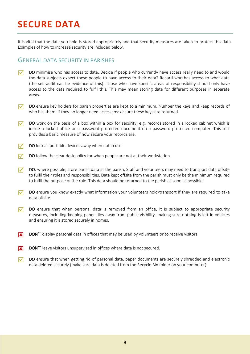## <span id="page-8-0"></span>**SECURE DATA**

It is vital that the data you hold is stored appropriately and that security measures are taken to protect this data. Examples of how to increase security are included below.

### GENERAL DATA SECURITY IN PARISHES

- DO minimise who has access to data. Decide if people who currently have access really need to and would the data subjects expect these people to have access to their data? Record who has access to what data (the self-audit can be evidence of this). Those who have specific areas of responsibility should only have access to the data required to fulfil this. This may mean storing data for different purposes in separate areas.
- $\nabla$  DO ensure key holders for parish properties are kept to a minimum. Number the keys and keep records of who has them. If they no longer need access, make sure these keys are returned.
- $\nabla$  DO work on the basis of a box within a box for security, e.g. records stored in a locked cabinet which is inside a locked office or a password protected document on a password protected computer. This test provides a basic measure of how secure your records are.
- $\nabla$  DO lock all portable devices away when not in use.
- $\nabla$  DO follow the clear desk policy for when people are not at their workstation.
- $\nabla$  DO, where possible, store parish data at the parish. Staff and volunteers may need to transport data offsite to fulfil their roles and responsibilities. Data kept offsite from the parish must only be the minimum required to fulfil the purpose of the role. This data should be returned to the parish as soon as possible.
- $\nabla$  DO ensure you know exactly what information your volunteers hold/transport if they are required to take data offsite.
- $\nabla$  DO ensure that when personal data is removed from an office, it is subject to appropriate security measures, including keeping paper files away from public visibility, making sure nothing is left in vehicles and ensuring it is stored securely in homes.
- **EX** DON'T display personal data in offices that may be used by volunteers or to receive visitors.
- **EX** DON'T leave visitors unsupervised in offices where data is not secured.
- $\nabla$  DO ensure that when getting rid of personal data, paper documents are securely shredded and electronic data deleted securely (make sure data is deleted from the Recycle Bin folder on your computer).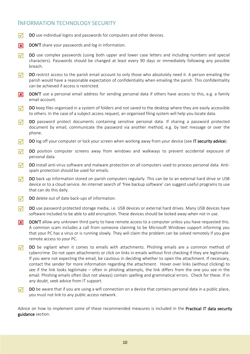## INFORMATION TECHNOLOGY SECURITY

- $\nabla$  DO use individual logins and passwords for computers and other devices.
- **EX** DON'T share your passwords and log in information.
- $\nabla$  DO use complex passwords (using both upper and lower case letters and including numbers and special characters). Passwords should be changed at least every 90 days or immediately following any possible breach.
- $\nabla$  DO restrict access to the parish email account to only those who absolutely need it. A person emailing the parish would have a reasonable expectation of confidentiality when emailing the parish. This confidentiality can be achieved if access is restricted.
- **EX** DON'T use a personal email address for sending personal data if others have access to this, e.g. a family email account.
- $\nabla$  DO keep files organised in a system of folders and not saved to the desktop where they are easily accessible to others. In the case of a subject access request, an organised filing system will help you locate data.
- DO password protect documents containing sensitive personal data. If sharing a password protected document by email, communicate the password via another method, e.g. by text message or over the phone.
- $\nabla$  DO log off your computer or lock your screen when working away from your device (see IT security advice).
- DO position computer screens away from windows and walkways to prevent accidental exposure of personal data.
- $\nabla$  DO install anti-virus software and malware protection on all computers used to process personal data. Antispam protection should be used for emails.
- $\nabla$  DO back up information stored on parish computers regularly. This can be to an external hard drive or USB device or to a cloud service. An internet search of 'free backup software' can suggest useful programs to use that can do this daily.
- $\nabla$  DO delete out of date back-ups of information.
- DO use password protected storage media, i.e. USB devices or external hard drives. Many USB devices have software included to be able to add encryption. These devices should be locked away when not in use.
- **EX** DON'T allow any unknown third party to have remote access to a computer unless you have requested this. A common scam includes a call from someone claiming to be Microsoft Windows support informing you that your PC has a virus or is running slowly. They will claim the problem can be solved remotely if you give remote access to your PC.
- $\nabla$  DO be vigilant when it comes to emails with attachments. Phishing emails are a common method of cybercrime. Do not open attachments or click on links in emails without first checking if they are legitimate. If you were not expecting the email, be cautious in deciding whether to open the attachment. If necessary, contact the sender for more information regarding the attachment. Hover over links (without clicking) to see if the link looks legitimate – often in phishing attempts, the link differs from the one you see in the email. Phishing emails often (but not always) contain spelling and grammatical errors. Check for these. If in any doubt, seek advice from IT support.
- $\nabla$  DO be aware that if you are using a wifi connection on a device that contains personal data in a public place, you must not link to any public access network.

Advice on how to implement some of these recommended measures is included in the **Practical IT data security** guidance section.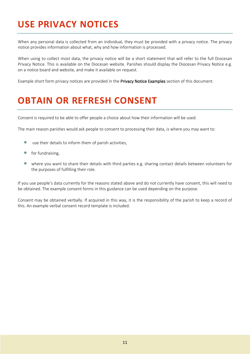## <span id="page-10-0"></span>**USE PRIVACY NOTICES**

When any personal data is collected from an individual, they must be provided with a privacy notice. The privacy notice provides information about what, why and how information is processed.

When using to collect most data, the privacy notice will be a short statement that will refer to the full Diocesan Privacy Notice. This is available on the Diocesan website. Parishes should display the Diocesan Privacy Notice e.g. on a notice board and website, and make it available on request.

<span id="page-10-1"></span>Example short form privacy notices are provided in the Privacy Notice Examples section of this document.

## **OBTAIN OR REFRESH CONSENT**

Consent is required to be able to offer people a choice about how their information will be used.

The main reason parishes would ask people to consent to processing their data, is where you may want to:

- use their details to inform them of parish activities,
- for fundraising,
- where you want to share their details with third parties e.g. sharing contact details between volunteers for the purposes of fulfilling their role.

If you use people's data currently for the reasons stated above and do not currently have consent, this will need to be obtained. The example consent forms in this guidance can be used depending on the purpose.

Consent may be obtained verbally. If acquired in this way, it is the responsibility of the parish to keep a record of this. An example verbal consent record template is included.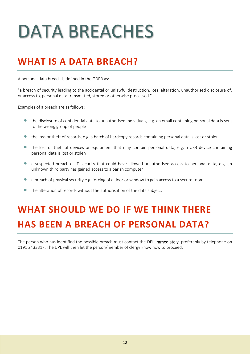## <span id="page-11-0"></span>DATA BREACHES

## <span id="page-11-1"></span>**WHAT IS A DATA BREACH?**

A personal data breach is defined in the GDPR as:

"a breach of security leading to the accidental or unlawful destruction, loss, alteration, unauthorised disclosure of, or access to, personal data transmitted, stored or otherwise processed."

Examples of a breach are as follows:

- the disclosure of confidential data to unauthorised individuals, e.g. an email containing personal data is sent to the wrong group of people
- the loss or theft of records, e.g. a batch of hardcopy records containing personal data is lost or stolen
- the loss or theft of devices or equipment that may contain personal data, e.g. a USB device containing personal data is lost or stolen
- a suspected breach of IT security that could have allowed unauthorised access to personal data, e.g. an unknown third party has gained access to a parish computer
- a breach of physical security e.g. forcing of a door or window to gain access to a secure room
- the alteration of records without the authorisation of the data subject.

## <span id="page-11-2"></span>**WHAT SHOULD WE DO IF WE THINK THERE HAS BEEN A BREACH OF PERSONAL DATA?**

The person who has identified the possible breach must contact the DPL immediately, preferably by telephone on 0191 2433317. The DPL will then let the person/member of clergy know how to proceed.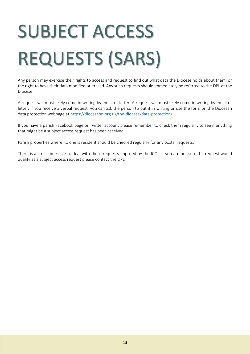# <span id="page-12-0"></span>SUBJECT ACCESS REQUESTS (SARS)

Any person may exercise their rights to access and request to find out what data the Diocese holds about them, or the right to have their data modified or erased. Any such requests should immediately be referred to the DPL at the Diocese.

A request will most likely come in writing by email or letter. A request will most likely come in writing by email or letter. If you receive a verbal request, you can ask the person to put it in writing or use the form on the Diocesan data protection webpage at<https://diocesehn.org.uk/the-diocese/data-protection/>

If you have a parish Facebook page or Twitter account please remember to check them regularly to see if anything that might be a subject access request has been received.

Parish properties where no one is resident should be checked regularly for any postal requests.

There is a strict timescale to deal with these requests imposed by the ICO. If you are not sure if a request would qualify as a subject access request please contact the DPL.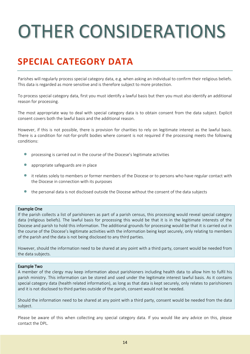## <span id="page-13-0"></span>OTHER CONSIDERATIONS

## <span id="page-13-1"></span>**SPECIAL CATEGORY DATA**

Parishes will regularly process special category data, e.g. when asking an individual to confirm their religious beliefs. This data is regarded as more sensitive and is therefore subject to more protection.

To process special category data, first you must identify a lawful basis but then you must also identify an additional reason for processing.

The most appropriate way to deal with special category data is to obtain consent from the data subject. Explicit consent covers both the lawful basis and the additional reason.

However, if this is not possible, there is provision for charities to rely on legitimate interest as the lawful basis. There is a condition for not-for-profit bodies where consent is not required if the processing meets the following conditions:

- processing is carried out in the course of the Diocese's legitimate activities
- appropriate safeguards are in place
- it relates solely to members or former members of the Diocese or to persons who have regular contact with the Diocese in connection with its purposes
- the personal data is not disclosed outside the Diocese without the consent of the data subjects

#### Example One

If the parish collects a list of parishioners as part of a parish census, this processing would reveal special category data (religious beliefs). The lawful basis for processing this would be that it is in the legitimate interests of the Diocese and parish to hold this information. The additional grounds for processing would be that it is carried out in the course of the Diocese's legitimate activities with the information being kept securely, only relating to members of the parish and the data is not being disclosed to any third parties.

However, should the information need to be shared at any point with a third party, consent would be needed from the data subjects.

#### Example Two

A member of the clergy may keep information about parishioners including health data to allow him to fulfil his parish ministry. This information can be stored and used under the legitimate interest lawful basis. As it contains special category data (health related information), as long as that data is kept securely, only relates to parishioners and it is not disclosed to third parties outside of the parish, consent would not be needed.

Should the information need to be shared at any point with a third party, consent would be needed from the data subject.

Please be aware of this when collecting any special category data. If you would like any advice on this, please contact the DPL.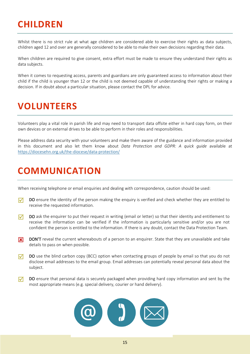## <span id="page-14-0"></span>**CHILDREN**

Whilst there is no strict rule at what age children are considered able to exercise their rights as data subjects, children aged 12 and over are generally considered to be able to make their own decisions regarding their data.

When children are required to give consent, extra effort must be made to ensure they understand their rights as data subjects.

When it comes to requesting access, parents and guardians are only guaranteed access to information about their child if the child is younger than 12 or the child is not deemed capable of understanding their rights or making a decision. If in doubt about a particular situation, please contact the DPL for advice.

## <span id="page-14-1"></span>**VOLUNTEERS**

Volunteers play a vital role in parish life and may need to transport data offsite either in hard copy form, on their own devices or on external drives to be able to perform in their roles and responsibilities.

Please address data security with your volunteers and make them aware of the guidance and information provided in this document and also let them know about *Data Protection and GDPR: A quick guide* available at <https://diocesehn.org.uk/the-diocese/data-protection/>

## <span id="page-14-2"></span>**COMMUNICATION**

When receiving telephone or email enquiries and dealing with correspondence, caution should be used:

- $\nabla$  DO ensure the identity of the person making the enquiry is verified and check whether they are entitled to receive the requested information.
- $\nabla$  DO ask the enquirer to put their request in writing (email or letter) so that their identity and entitlement to receive the information can be verified if the information is particularly sensitive and/or you are not confident the person is entitled to the information. If there is any doubt, contact the Data Protection Team.
- **EX** DON'T reveal the current whereabouts of a person to an enquirer. State that they are unavailable and take details to pass on when possible.
- $\nabla$  DO use the blind carbon copy (BCC) option when contacting groups of people by email so that you do not disclose email addresses to the email group. Email addresses can potentially reveal personal data about the subject.
- $\nabla$  DO ensure that personal data is securely packaged when providing hard copy information and sent by the most appropriate means (e.g. special delivery, courier or hand delivery).

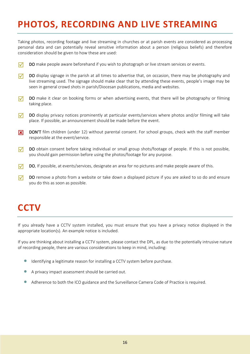## <span id="page-15-0"></span>**PHOTOS, RECORDING AND LIVE STREAMING**

Taking photos, recording footage and live streaming in churches or at parish events are considered as processing personal data and can potentially reveal sensitive information about a person (religious beliefs) and therefore consideration should be given to how these are used:

- $\nabla$  DO make people aware beforehand if you wish to photograph or live stream services or events.
- $\nabla$  DO display signage in the parish at all times to advertise that, on occasion, there may be photography and live streaming used. The signage should make clear that by attending these events, people's image may be seen in general crowd shots in parish/Diocesan publications, media and websites.
- $\nabla$  DO make it clear on booking forms or when advertising events, that there will be photography or filming taking place.
- $\nabla$  DO display privacy notices prominently at particular events/services where photos and/or filming will take place. If possible, an announcement should be made before the event.
- **EX** DON'T film children (under 12) without parental consent. For school groups, check with the staff member responsible at the event/service.
- $\nabla$  DO obtain consent before taking individual or small group shots/footage of people. If this is not possible, you should gain permission before using the photos/footage for any purpose.
- $\nabla$  DO, If possible, at events/services, designate an area for no pictures and make people aware of this.
- $\nabla$  DO remove a photo from a website or take down a displayed picture if you are asked to so do and ensure you do this as soon as possible.

## <span id="page-15-1"></span>**CCTV**

If you already have a CCTV system installed, you must ensure that you have a privacy notice displayed in the appropriate location(s). An example notice is included.

If you are thinking about installing a CCTV system, please contact the DPL, as due to the potentially intrusive nature of recording people, there are various considerations to keep in mind, including:

- Identifying a legitimate reason for installing a CCTV system before purchase.
- A privacy impact assessment should be carried out.
- Adherence to both the ICO guidance and the Surveillance Camera Code of Practice is required.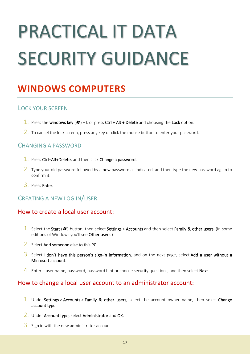## <span id="page-16-0"></span>PRACTICAL IT DATA SECURITY GUIDANCE

## <span id="page-16-1"></span>**WINDOWS COMPUTERS**

### LOCK YOUR SCREEN

- 1. Press the windows key ( $\mathcal{I}$ ) + L or press Ctrl + Alt + Delete and choosing the Lock option.
- $2.$  To cancel the lock screen, press any key or click the mouse button to enter your password.

## CHANGING A PASSWORD

- $\overline{1}$ . Press Ctrl+Alt+Delete, and then click Change a password.
- $2.$  Type your old password followed by a new password as indicated, and then type the new password again to confirm it.
- 3. Press Enter.

## CREATING A NEW LOG IN/USER

## How to create a local user account:

- 1. Select the Start ( $\approx$ ) button, then select Settings > Accounts and then select Family & other users. (In some editions of Windows you'll see Other users.)
- 2. Select Add someone else to this PC.
- $3.$  Select I don't have this person's sign-in information, and on the next page, select Add a user without a Microsoft account.
- 4. Enter a user name, password, password hint or choose security questions, and then select Next.

### How to change a local user account to an administrator account:

- 1. Under Settings > Accounts > Family & other users, select the account owner name, then select Change account type.
- 2. Under Account type, select Administrator and OK.
- $3.$  Sign in with the new administrator account.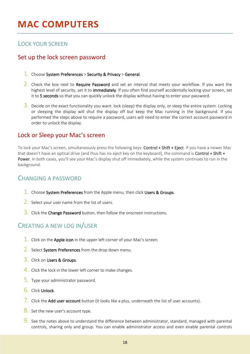## <span id="page-17-0"></span>**MAC COMPUTERS**

## LOCK YOUR SCREEN

## Set up the lock screen password

- $1.$  Choose System Preferences > Security & Privacy > General.
- 2. Check the box next to Require Password and set an interval that meets your workflow. If you want the highest level of security, set it to *immediately*. If you often find yourself accidentally locking your screen, set it to 5 seconds so that you can quickly unlock the display without having to enter your password.
- $3.$  Decide on the exact functionality you want: lock (sleep) the display only, or sleep the entire system. Locking or sleeping the display will shut the display off but keep the Mac running in the background. If you performed the steps above to require a password, users will need to enter the correct account password in order to unlock the display.

## Lock or Sleep your Mac's screen

To lock your Mac's screen, simultaneously press the following keys: Control + Shift + Eject. If you have a newer Mac that doesn't have an optical drive (and thus has no eject key on the keyboard), the command is Control + Shift + Power. In both cases, you'll see your Mac's display shut off immediately, while the system continues to run in the background.

## CHANGING A PASSWORD

- 1. Choose System Preferences from the Apple menu, then click Users & Groups.
- 2. Select your user name from the list of users.
- $\overline{3}$ . Click the **Change Password** button, then follow the onscreen instructions.

## CREATING A NEW LOG IN/USER

- $\overline{1}$ . Click on the Apple icon in the upper left corner of your Mac's screen.
- 2. Select System Preferences from the drop down menu.
- 3. Click on Users & Groups.
- $\frac{4}{1}$ . Click the lock in the lower left corner to make changes.
- 5. Type your administrator password.
- 6. Click Unlock.
- 7. Click the Add user account button (it looks like a plus, underneath the list of user accounts).
- 8. Set the new user's account type.
- 9. See the notes above to understand the difference between administrator, standard, managed with parental controls, sharing only and group. You can enable administrator access and even enable parental controls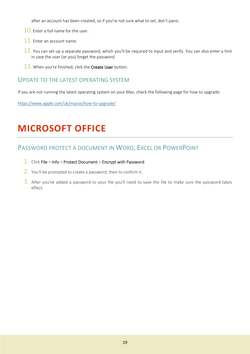after an account has been created, so if you're not sure what to set, don't panic.

- 10. Enter a full name for the user.
- 11. Enter an account name.
- $12$ . You can set up a separate password, which you'll be required to input and verify. You can also enter a hint in case the user (or you) forget the password.
- $13.$  When you're finished, click the Create User button.

### UPDATE TO THE LATEST OPERATING SYSTEM

If you are not running the latest operating system on your Mac, check the following page for how to upgrade:

<span id="page-18-0"></span><https://www.apple.com/uk/macos/how-to-upgrade/>

## **MICROSOFT OFFICE**

## PASSWORD PROTECT A DOCUMENT IN WORD, EXCEL OR POWERPOINT

- 1. Click File > Info > Protect Document > Encrypt with Password.
- 2. You'll be prompted to create a password, then to confirm it.
- $3.$  After you've added a password to your file you'll need to save the file to make sure the password takes effect.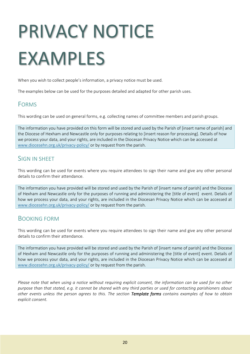## <span id="page-19-0"></span>PRIVACY NOTICE EXAMPLES

When you wish to collect people's information, a privacy notice must be used.

The examples below can be used for the purposes detailed and adapted for other parish uses.

### FORMS

This wording can be used on general forms, e.g. collecting names of committee members and parish groups.

The information you have provided on this form will be stored and used by the Parish of [insert name of parish] and the Diocese of Hexham and Newcastle only for purposes relating to [insert reason for processing]. Details of how we process your data, and your rights, are included in the Diocesan Privacy Notice which can be accessed at [www.diocesehn.org.uk/privacy-policy/](http://www.diocesehn.org.uk/privacy-policy/) or by request from the parish.

## SIGN IN SHEFT

This wording can be used for events where you require attendees to sign their name and give any other personal details to confirm their attendance.

The information you have provided will be stored and used by the Parish of [insert name of parish] and the Diocese of Hexham and Newcastle only for the purposes of running and administering the [title of event] event. Details of how we process your data, and your rights, are included in the Diocesan Privacy Notice which can be accessed at [www.diocesehn.org.uk/privacy-policy/](http://www.diocesehn.org.uk/privacy-policy/) or by request from the parish.

## BOOKING FORM

This wording can be used for events where you require attendees to sign their name and give any other personal details to confirm their attendance.

The information you have provided will be stored and used by the Parish of [insert name of parish] and the Diocese of Hexham and Newcastle only for the purposes of running and administering the [title of event] event. Details of how we process your data, and your rights, are included in the Diocesan Privacy Notice which can be accessed at [www.diocesehn.org.uk/privacy-policy/](http://www.diocesehn.org.uk/privacy-policy/) or by request from the parish.

*Please note that when using a notice without requiring explicit consent, the information can be used for no other purpose than that stated, e.g. it cannot be shared with any third parties or used for contacting parishioners about other events unless the person agrees to this. The section Template forms contains examples of how to obtain explicit consent.*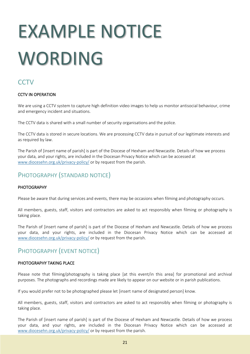## <span id="page-20-0"></span>EXAMPLE NOTICE WORDING

## **CCTV**

#### CCTV IN OPERATION

We are using a CCTV system to capture high definition video images to help us monitor antisocial behaviour, crime and emergency incident and situations.

The CCTV data is shared with a small number of security organisations and the police.

The CCTV data is stored in secure locations. We are processing CCTV data in pursuit of our legitimate interests and as required by law.

The Parish of [insert name of parish] is part of the Diocese of Hexham and Newcastle. Details of how we process your data, and your rights, are included in the Diocesan Privacy Notice which can be accessed at [www.diocesehn.org.uk/privacy-policy/](http://www.diocesehn.org.uk/privacy-policy/) or by request from the parish.

## PHOTOGRAPHY (STANDARD NOTICE)

#### PHOTOGRAPHY

Please be aware that during services and events, there may be occasions when filming and photography occurs.

All members, guests, staff, visitors and contractors are asked to act responsibly when filming or photography is taking place.

The Parish of [insert name of parish] is part of the Diocese of Hexham and Newcastle. Details of how we process your data, and your rights, are included in the Diocesan Privacy Notice which can be accessed at [www.diocesehn.org.uk/privacy-policy/](http://www.diocesehn.org.uk/privacy-policy/) or by request from the parish.

## PHOTOGRAPHY (EVENT NOTICE)

#### PHOTOGRAPHY TAKING PLACE

Please note that filming/photography is taking place [at this event/in this area] for promotional and archival purposes. The photographs and recordings made are likely to appear on our website or in parish publications.

If you would prefer not to be photographed please let [insert name of designated person] know.

All members, guests, staff, visitors and contractors are asked to act responsibly when filming or photography is taking place.

The Parish of [insert name of parish] is part of the Diocese of Hexham and Newcastle. Details of how we process your data, and your rights, are included in the Diocesan Privacy Notice which can be accessed at [www.diocesehn.org.uk/privacy-policy/](http://www.diocesehn.org.uk/privacy-policy/) or by request from the parish.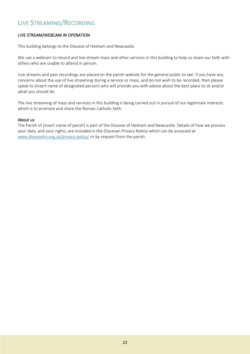## LIVE STREAMING/RECORDING

#### LIVE STREAM/WEBCAM IN OPERATION

This building belongs to the Diocese of Hexham and Newcastle.

We use a webcam to record and live stream mass and other services in this building to help us share our faith with others who are unable to attend in person.

Live streams and past recordings are placed on the parish website for the general public to see. If you have any concerns about the use of live streaming during a service or mass, and do not wish to be recorded, then please speak to [insert name of designated person] who will provide you with advice about the best place to sit and/or what you should do.

The live streaming of mass and services in this building is being carried out in pursuit of our legitimate interests which is to promote and share the Roman Catholic faith.

#### About us

The Parish of [insert name of parish] is part of the Diocese of Hexham and Newcastle. Details of how we process your data, and your rights, are included in the Diocesan Privacy Notice which can be accessed at [www.diocesehn.org.uk/privacy-policy/](http://www.diocesehn.org.uk/privacy-policy/) or by request from the parish.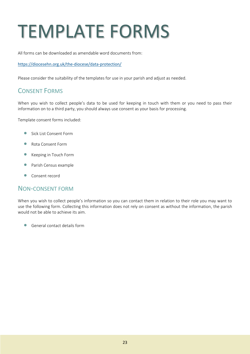## <span id="page-22-0"></span>TEMPLATE FORMS

All forms can be downloaded as amendable word documents from:

#### <https://diocesehn.org.uk/the-diocese/data-protection/>

Please consider the suitability of the templates for use in your parish and adjust as needed.

## CONSENT FORMS

When you wish to collect people's data to be used for keeping in touch with them or you need to pass their information on to a third party, you should always use consent as your basis for processing.

Template consent forms included:

- Sick List Consent Form
- Rota Consent Form
- Keeping in Touch Form
- Parish Census example
- Consent record

### NON-CONSENT FORM

When you wish to collect people's information so you can contact them in relation to their role you may want to use the following form. Collecting this information does not rely on consent as without the information, the parish would not be able to achieve its aim.

• General contact details form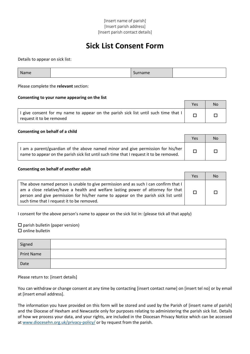## **Sick List Consent Form**

Details to appear on sick list:

| Name | Surname |
|------|---------|
|------|---------|

Please complete the **relevant** section:

#### **Consenting to your name appearing on the list**

|                                                                                                                           | Yes | No |
|---------------------------------------------------------------------------------------------------------------------------|-----|----|
| I give consent for my name to appear on the parish sick list until such time that $  \cdot  $<br>request it to be removed |     |    |

#### **Consenting on behalf of a child**

|                                                                                                                                                                            | Yes | No. |
|----------------------------------------------------------------------------------------------------------------------------------------------------------------------------|-----|-----|
| I am a parent/guardian of the above named minor and give permission for his/her<br>name to appear on the parish sick list until such time that I request it to be removed. |     |     |

#### **Consenting on behalf of another adult**

|                                                                                                                                                                                                                                                                                                               | Yes | <b>No</b> |
|---------------------------------------------------------------------------------------------------------------------------------------------------------------------------------------------------------------------------------------------------------------------------------------------------------------|-----|-----------|
| The above named person is unable to give permission and as such I can confirm that I<br>am a close relative/have a health and welfare lasting power of attorney for that<br>person and give permission for his/her name to appear on the parish sick list until<br>such time that I request it to be removed. |     |           |

I consent for the above person's name to appear on the sick list in: (please tick all that apply)

 $\square$  parish bulletin (paper version)  $\square$  online bulletin

| Signed            |  |
|-------------------|--|
| <b>Print Name</b> |  |
| Date              |  |

#### Please return to: [insert details]

You can withdraw or change consent at any time by contacting [insert contact name] on [insert tel no] or by email at [insert email address].

The information you have provided on this form will be stored and used by the Parish of [insert name of parish] and the Diocese of Hexham and Newcastle only for purposes relating to administering the parish sick list. Details of how we process your data, and your rights, are included in the Diocesan Privacy Notice which can be accessed at [www.diocesehn.org.uk/privacy-policy/](http://www.diocesehn.org.uk/privacy-policy/) or by request from the parish.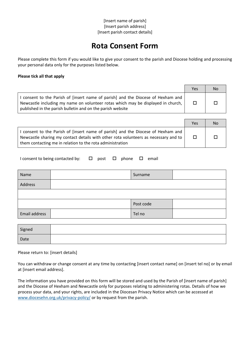## **Rota Consent Form**

Please complete this form if you would like to give your consent to the parish and Diocese holding and processing your personal data only for the purposes listed below.

#### **Please tick all that apply**

|                                                                                                                                                                                                                                  | Yes    | <b>No</b> |
|----------------------------------------------------------------------------------------------------------------------------------------------------------------------------------------------------------------------------------|--------|-----------|
| consent to the Parish of [insert name of parish] and the Diocese of Hexham and<br>Newcastle including my name on volunteer rotas which may be displayed in church,<br>published in the parish bulletin and on the parish website | $\Box$ |           |

|                                                                                                                                                                                                                                      | Yes    | No |
|--------------------------------------------------------------------------------------------------------------------------------------------------------------------------------------------------------------------------------------|--------|----|
| I consent to the Parish of [insert name of parish] and the Diocese of Hexham and<br>Newcastle sharing my contact details with other rota volunteers as necessary and to<br>them contacting me in relation to the rota administration | $\Box$ |    |

| I consent to being contacted by: $\Box$ post $\Box$ phone $\Box$ email |  |  |  |
|------------------------------------------------------------------------|--|--|--|
|                                                                        |  |  |  |

| Name          | Surname   |  |
|---------------|-----------|--|
| Address       |           |  |
|               |           |  |
|               | Post code |  |
| Email address | Tel no    |  |

| Signed |  |
|--------|--|
| Date   |  |

Please return to: [insert details]

You can withdraw or change consent at any time by contacting [insert contact name] on [insert tel no] or by email at [insert email address].

The information you have provided on this form will be stored and used by the Parish of [insert name of parish] and the Diocese of Hexham and Newcastle only for purposes relating to administering rotas. Details of how we process your data, and your rights, are included in the Diocesan Privacy Notice which can be accessed at [www.diocesehn.org.uk/privacy-policy/](http://www.diocesehn.org.uk/privacy-policy/) or by request from the parish.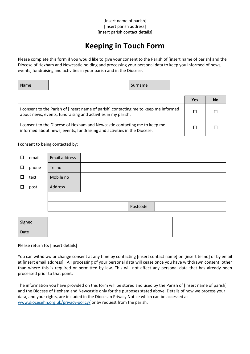## **Keeping in Touch Form**

Please complete this form if you would like to give your consent to the Parish of [insert name of parish] and the Diocese of Hexham and Newcastle holding and processing your personal data to keep you informed of news, events, fundraising and activities in your parish and in the Diocese.

| <b>Name</b>                                                                                                                                          |  | Surname |  |            |    |
|------------------------------------------------------------------------------------------------------------------------------------------------------|--|---------|--|------------|----|
|                                                                                                                                                      |  |         |  | <b>Yes</b> | No |
| I consent to the Parish of [insert name of parish] contacting me to keep me informed<br>about news, events, fundraising and activities in my parish. |  |         |  |            |    |
| consent to the Diocese of Hexham and Newcastle contacting me to keep me<br>informed about news, events, fundraising and activities in the Diocese.   |  |         |  |            |    |

#### I consent to being contacted by:

| $\Box$ | email | Email address |          |
|--------|-------|---------------|----------|
| $\Box$ | phone | Tel no        |          |
| П      | text  | Mobile no     |          |
| $\Box$ | post  | Address       |          |
|        |       |               |          |
|        |       |               | Postcode |
|        |       |               |          |
| Cianod |       |               |          |

| Signed |  |
|--------|--|
| Date   |  |

Please return to: [insert details]

You can withdraw or change consent at any time by contacting [insert contact name] on [insert tel no] or by email at [insert email address]. All processing of your personal data will cease once you have withdrawn consent, other than where this is required or permitted by law. This will not affect any personal data that has already been processed prior to that point.

The information you have provided on this form will be stored and used by the Parish of [insert name of parish] and the Diocese of Hexham and Newcastle only for the purposes stated above. Details of how we process your data, and your rights, are included in the Diocesan Privacy Notice which can be accessed at [www.diocesehn.org.uk/privacy-policy/](http://www.diocesehn.org.uk/privacy-policy/) or by request from the parish.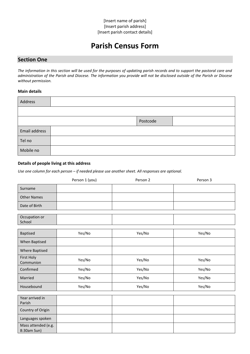## **Parish Census Form**

### **Section One**

*The information in this section will be used for the purposes of updating parish records and to support the pastoral care and administration of the Parish and Diocese. The information you provide will not be disclosed outside of the Parish or Diocese without permission.*

#### **Main details**

| Address       |          |  |
|---------------|----------|--|
|               |          |  |
|               | Postcode |  |
| Email address |          |  |
| Tel no        |          |  |
| Mobile no     |          |  |

#### **Details of people living at this address**

*Use one column for each person – if needed please use another sheet. All responses are optional.* 

|                    | Person 1 (you) | Person 2 | Person 3 |
|--------------------|----------------|----------|----------|
| Surname            |                |          |          |
| <b>Other Names</b> |                |          |          |
| Date of Birth      |                |          |          |
|                    |                |          |          |
| Occupation or      |                |          |          |
| School             |                |          |          |
|                    |                |          |          |
| Baptised           | Yes/No         | Yes/No   | Yes/No   |
| When Baptised      |                |          |          |
| Where Baptised     |                |          |          |
| First Holy         | Yes/No         | Yes/No   | Yes/No   |
| Communion          |                |          |          |
| Confirmed          | Yes/No         | Yes/No   | Yes/No   |
| Married            | Yes/No         | Yes/No   | Yes/No   |
| Housebound         | Yes/No         | Yes/No   | Yes/No   |
| $\sim$ $\sim$      |                |          |          |

| Year arrived in                    |  |  |
|------------------------------------|--|--|
| Parish                             |  |  |
| Country of Origin                  |  |  |
| Languages spoken                   |  |  |
| Mass attended (e.g.<br>8:30am Sun) |  |  |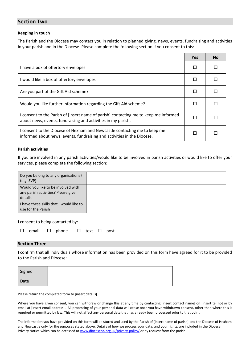#### **Section Two**

#### **Keeping in touch**

The Parish and the Diocese may contact you in relation to planned giving, news, events, fundraising and activities in your parish and in the Diocese. Please complete the following section if you consent to this:

|                                                                                                                                                      | <b>Yes</b> | <b>No</b> |
|------------------------------------------------------------------------------------------------------------------------------------------------------|------------|-----------|
| I have a box of offertory envelopes                                                                                                                  |            |           |
| I would like a box of offertory envelopes                                                                                                            |            |           |
| Are you part of the Gift Aid scheme?                                                                                                                 |            |           |
| Would you like further information regarding the Gift Aid scheme?                                                                                    |            |           |
| I consent to the Parish of [insert name of parish] contacting me to keep me informed<br>about news, events, fundraising and activities in my parish. |            |           |
| I consent to the Diocese of Hexham and Newcastle contacting me to keep me<br>informed about news, events, fundraising and activities in the Diocese. |            |           |

#### **Parish activities**

If you are involved in any parish activities/would like to be involved in parish activities or would like to offer your services, please complete the following section:

| Do you belong to any organisations?<br>(e.g. SVP)                                    |  |
|--------------------------------------------------------------------------------------|--|
| Would you like to be involved with<br>any parish activities? Please give<br>details. |  |
| I have these skills that I would like to<br>use for the Parish                       |  |

I consent to being contacted by:

|  |  |  | $\square$ email $\square$ phone $\square$ text $\square$ post |  |  |  |  |
|--|--|--|---------------------------------------------------------------|--|--|--|--|
|--|--|--|---------------------------------------------------------------|--|--|--|--|

#### **Section Three**

I confirm that all individuals whose information has been provided on this form have agreed for it to be provided to the Parish and Diocese:

| Signed |  |
|--------|--|
| Date   |  |

Please return the completed form to [insert details].

Where you have given consent, you can withdraw or change this at any time by contacting [insert contact name] on [insert tel no] or by email at [insert email address]. All processing of your personal data will cease once you have withdrawn consent, other than where this is required or permitted by law. This will not affect any personal data that has already been processed prior to that point.

The information you have provided on this form will be stored and used by the Parish of [insert name of parish] and the Diocese of Hexham and Newcastle only for the purposes stated above. Details of how we process your data, and your rights, are included in the Diocesan Privacy Notice which can be accessed a[t www.diocesehn.org.uk/privacy-policy/](http://www.diocesehn.org.uk/privacy-policy/) or by request from the parish.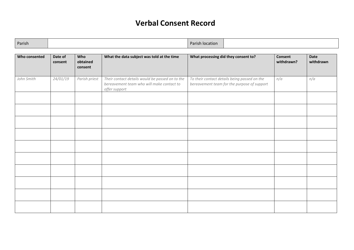## **Verbal Consent Record**

| Parish<br>Paris<br>n location |  |
|-------------------------------|--|
|-------------------------------|--|

| Who consented | Date of<br>consent | Who<br>obtained<br>consent | What the data subject was told at the time                                                                    | What processing did they consent to?                                                        | <b>Consent</b><br>withdrawn? | Date<br>withdrawn |
|---------------|--------------------|----------------------------|---------------------------------------------------------------------------------------------------------------|---------------------------------------------------------------------------------------------|------------------------------|-------------------|
| John Smith    | 24/01/19           | Parish priest              | Their contact details would be passed on to the<br>bereavement team who will make contact to<br>offer support | To their contact details being passed on the<br>bereavement team for the purpose of support | n/a                          | n/a               |
|               |                    |                            |                                                                                                               |                                                                                             |                              |                   |
|               |                    |                            |                                                                                                               |                                                                                             |                              |                   |
|               |                    |                            |                                                                                                               |                                                                                             |                              |                   |
|               |                    |                            |                                                                                                               |                                                                                             |                              |                   |
|               |                    |                            |                                                                                                               |                                                                                             |                              |                   |
|               |                    |                            |                                                                                                               |                                                                                             |                              |                   |
|               |                    |                            |                                                                                                               |                                                                                             |                              |                   |